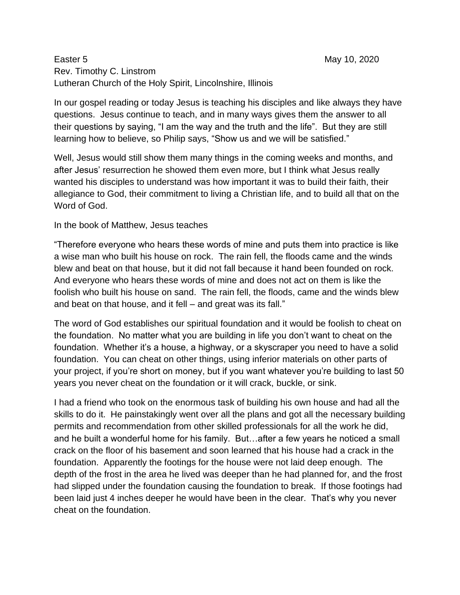## Easter 5 May 10, 2020 Rev. Timothy C. Linstrom Lutheran Church of the Holy Spirit, Lincolnshire, Illinois

In our gospel reading or today Jesus is teaching his disciples and like always they have questions. Jesus continue to teach, and in many ways gives them the answer to all their questions by saying, "I am the way and the truth and the life". But they are still learning how to believe, so Philip says, "Show us and we will be satisfied."

Well, Jesus would still show them many things in the coming weeks and months, and after Jesus' resurrection he showed them even more, but I think what Jesus really wanted his disciples to understand was how important it was to build their faith, their allegiance to God, their commitment to living a Christian life, and to build all that on the Word of God.

## In the book of Matthew, Jesus teaches

"Therefore everyone who hears these words of mine and puts them into practice is like a wise man who built his house on rock. The rain fell, the floods came and the winds blew and beat on that house, but it did not fall because it hand been founded on rock. And everyone who hears these words of mine and does not act on them is like the foolish who built his house on sand. The rain fell, the floods, came and the winds blew and beat on that house, and it fell – and great was its fall."

The word of God establishes our spiritual foundation and it would be foolish to cheat on the foundation. No matter what you are building in life you don't want to cheat on the foundation. Whether it's a house, a highway, or a skyscraper you need to have a solid foundation. You can cheat on other things, using inferior materials on other parts of your project, if you're short on money, but if you want whatever you're building to last 50 years you never cheat on the foundation or it will crack, buckle, or sink.

I had a friend who took on the enormous task of building his own house and had all the skills to do it. He painstakingly went over all the plans and got all the necessary building permits and recommendation from other skilled professionals for all the work he did, and he built a wonderful home for his family. But…after a few years he noticed a small crack on the floor of his basement and soon learned that his house had a crack in the foundation. Apparently the footings for the house were not laid deep enough. The depth of the frost in the area he lived was deeper than he had planned for, and the frost had slipped under the foundation causing the foundation to break. If those footings had been laid just 4 inches deeper he would have been in the clear. That's why you never cheat on the foundation.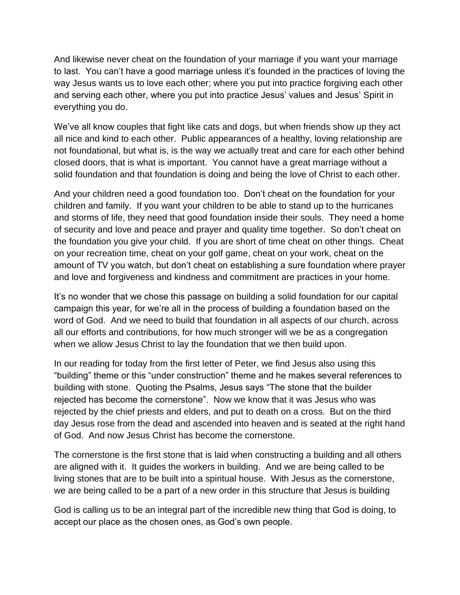And likewise never cheat on the foundation of your marriage if you want your marriage to last. You can't have a good marriage unless it's founded in the practices of loving the way Jesus wants us to love each other; where you put into practice forgiving each other and serving each other, where you put into practice Jesus' values and Jesus' Spirit in everything you do.

We've all know couples that fight like cats and dogs, but when friends show up they act all nice and kind to each other. Public appearances of a healthy, loving relationship are not foundational, but what is, is the way we actually treat and care for each other behind closed doors, that is what is important. You cannot have a great marriage without a solid foundation and that foundation is doing and being the love of Christ to each other.

And your children need a good foundation too. Don't cheat on the foundation for your children and family. If you want your children to be able to stand up to the hurricanes and storms of life, they need that good foundation inside their souls. They need a home of security and love and peace and prayer and quality time together. So don't cheat on the foundation you give your child. If you are short of time cheat on other things. Cheat on your recreation time, cheat on your golf game, cheat on your work, cheat on the amount of TV you watch, but don't cheat on establishing a sure foundation where prayer and love and forgiveness and kindness and commitment are practices in your home.

It's no wonder that we chose this passage on building a solid foundation for our capital campaign this year, for we're all in the process of building a foundation based on the word of God. And we need to build that foundation in all aspects of our church, across all our efforts and contributions, for how much stronger will we be as a congregation when we allow Jesus Christ to lay the foundation that we then build upon.

In our reading for today from the first letter of Peter, we find Jesus also using this "building" theme or this "under construction" theme and he makes several references to building with stone. Quoting the Psalms, Jesus says "The stone that the builder rejected has become the cornerstone". Now we know that it was Jesus who was rejected by the chief priests and elders, and put to death on a cross. But on the third day Jesus rose from the dead and ascended into heaven and is seated at the right hand of God. And now Jesus Christ has become the cornerstone.

The cornerstone is the first stone that is laid when constructing a building and all others are aligned with it. It guides the workers in building. And we are being called to be living stones that are to be built into a spiritual house. With Jesus as the cornerstone, we are being called to be a part of a new order in this structure that Jesus is building

God is calling us to be an integral part of the incredible new thing that God is doing, to accept our place as the chosen ones, as God's own people.